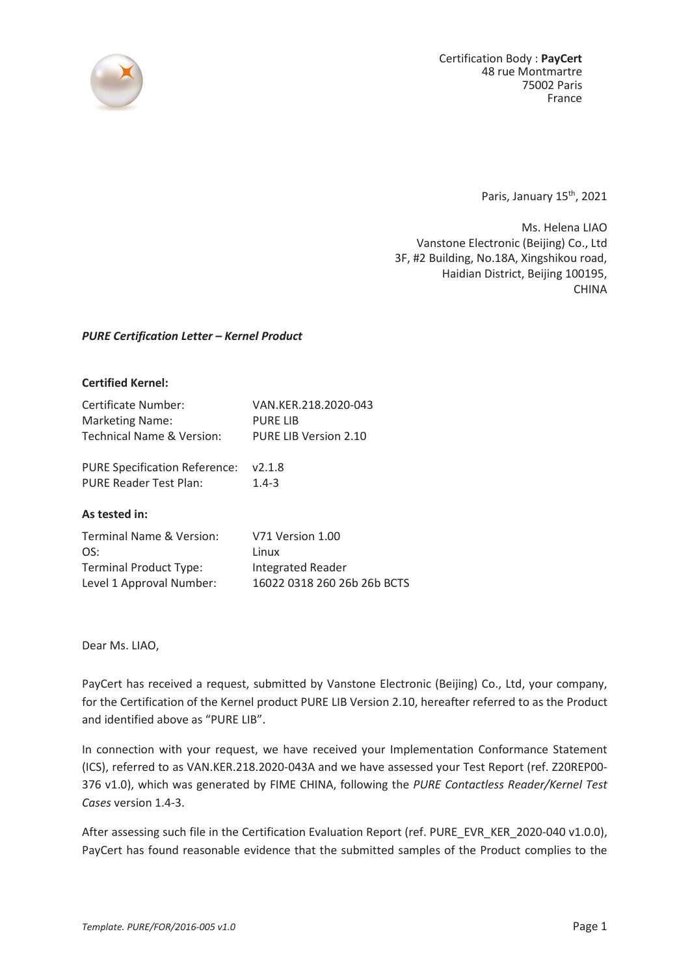

Certification Body : **PayCert** 48 rue Montmartre 75002 Paris France

Paris, January 15<sup>th</sup>, 2021

Ms. Helena LIAO Vanstone Electronic (Beijing) Co., Ltd 3F, #2 Building, No.18A, Xingshikou road, Haidian District, Beijing 100195, CHINA

## *PURE Certification Letter – Kernel Product*

## **Certified Kernel:**

| Certificate Number:       | VAN.KER.218.2020-043  |
|---------------------------|-----------------------|
| <b>Marketing Name:</b>    | <b>PURE LIB</b>       |
| Technical Name & Version: | PURE LIB Version 2.10 |

PURE Specification Reference: v2.1.8 PURE Reader Test Plan: 1.4-3

## **As tested in:**

| Terminal Name & Version:      | V71 Version 1.00            |
|-------------------------------|-----------------------------|
| OS:                           | Linux                       |
| <b>Terminal Product Type:</b> | Integrated Reader           |
| Level 1 Approval Number:      | 16022 0318 260 26b 26b BCTS |

Dear Ms. LIAO,

PayCert has received a request, submitted by Vanstone Electronic (Beijing) Co., Ltd, your company, for the Certification of the Kernel product PURE LIB Version 2.10, hereafter referred to as the Product and identified above as "PURE LIB".

In connection with your request, we have received your Implementation Conformance Statement (ICS), referred to as VAN.KER.218.2020-043A and we have assessed your Test Report (ref. Z20REP00- 376 v1.0), which was generated by FIME CHINA, following the *PURE Contactless Reader/Kernel Test Cases* version 1.4-3.

After assessing such file in the Certification Evaluation Report (ref. PURE\_EVR\_KER\_2020-040 v1.0.0), PayCert has found reasonable evidence that the submitted samples of the Product complies to the